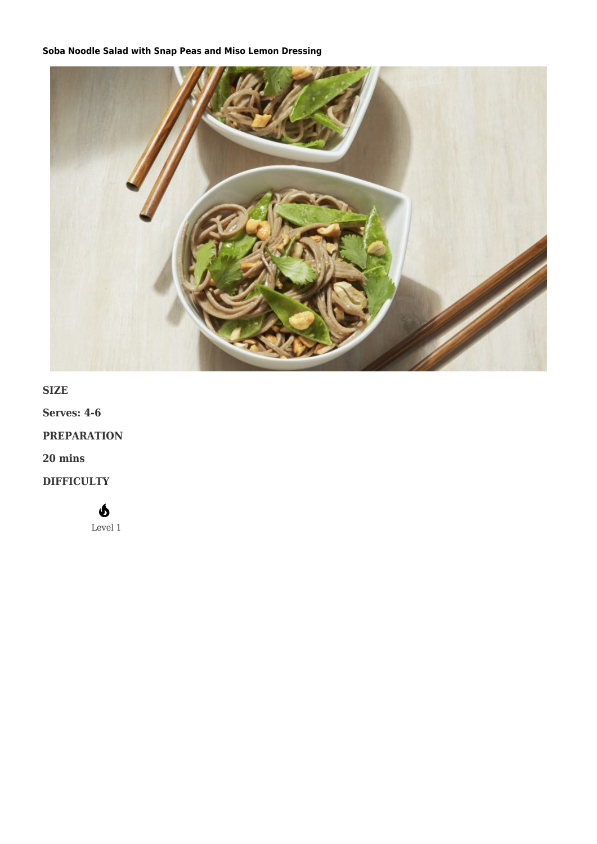## **[Soba Noodle Salad with Snap Peas and Miso Lemon Dressing](https://afoodblog.notjust.co/2022/05/10/soba-noodle-salad-with-snap-peas-and-lemon-miso-dressing/)**



**SIZE**

**Serves: 4-6**

**PREPARATION**

**20 mins**

**DIFFICULTY**

## $\mathbf{\Phi}$

Level 1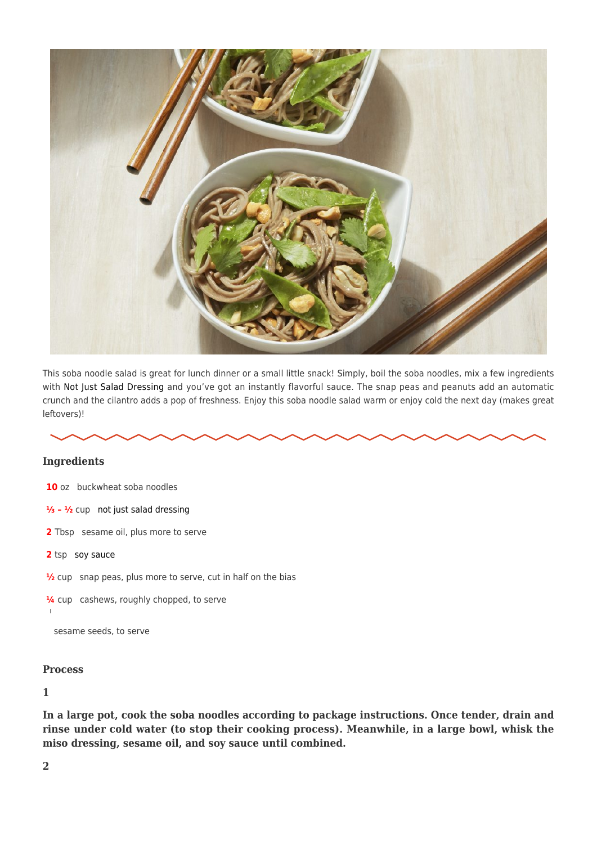

This soba noodle salad is great for lunch dinner or a small little snack! Simply, boil the soba noodles, mix a few ingredients with [Not Just Salad Dressing](https://notjust.co/products/not-just-salad-dressing-3-pack) and you've got an instantly flavorful sauce. The snap peas and peanuts add an automatic crunch and the cilantro adds a pop of freshness. Enjoy this soba noodle salad warm or enjoy cold the next day (makes great leftovers)!

## **Ingredients**

**10** oz buckwheat soba noodles

**⅓ – ½** cup [not just salad dressing](https://notjust.co/products/not-just-capsule-collection)

**2** Tbsp sesame oil, plus more to serve

2 tsp [soy sauce](https://notjust.co/products/not-just-pasta-sauce?variant=31482920271934)

**½** cup snap peas, plus more to serve, cut in half on the bias

**¼** cup cashews, roughly chopped, to serve

sesame seeds, to serve

## **Process**

**1**

 $\overline{1}$ 

**In a large pot, cook the soba noodles according to package instructions. Once tender, drain and rinse under cold water (to stop their cooking process). Meanwhile, in a large bowl, whisk the miso dressing, sesame oil, and soy sauce until combined.**